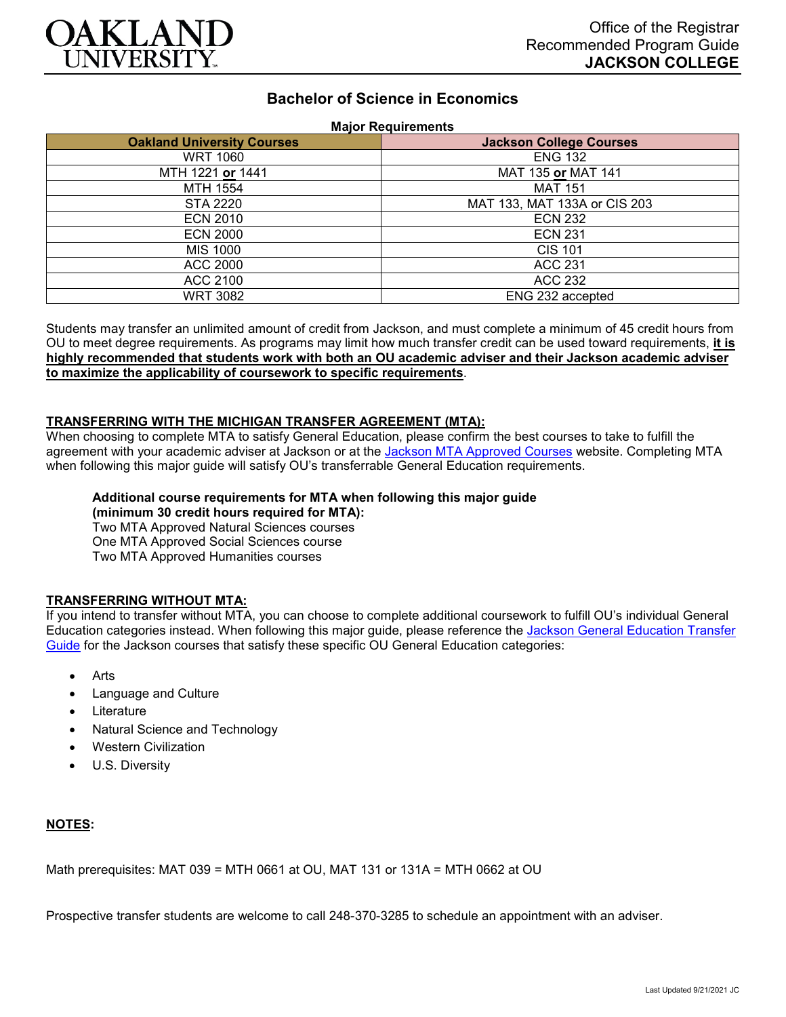

# **Bachelor of Science in Economics**

## **Major Requirements**

| <b>Oakland University Courses</b> | <b>Jackson College Courses</b> |
|-----------------------------------|--------------------------------|
| <b>WRT 1060</b>                   | <b>ENG 132</b>                 |
| MTH 1221 or 1441                  | MAT 135 or MAT 141             |
| MTH 1554                          | <b>MAT 151</b>                 |
| STA 2220                          | MAT 133, MAT 133A or CIS 203   |
| <b>ECN 2010</b>                   | <b>ECN 232</b>                 |
| <b>ECN 2000</b>                   | <b>ECN 231</b>                 |
| MIS 1000                          | <b>CIS 101</b>                 |
| ACC 2000                          | <b>ACC 231</b>                 |
| ACC 2100                          | ACC 232                        |
| WRT 3082                          | ENG 232 accepted               |

Students may transfer an unlimited amount of credit from Jackson, and must complete a minimum of 45 credit hours from OU to meet degree requirements. As programs may limit how much transfer credit can be used toward requirements, **it is highly recommended that students work with both an OU academic adviser and their Jackson academic adviser to maximize the applicability of coursework to specific requirements**.

### **TRANSFERRING WITH THE MICHIGAN TRANSFER AGREEMENT (MTA):**

When choosing to complete MTA to satisfy General Education, please confirm the best courses to take to fulfill the agreement with your academic adviser at Jackson or at the Jackson [MTA Approved Courses](https://www.jccmi.edu/transfer/michigan-transfer-agreement/) website. Completing MTA when following this major guide will satisfy OU's transferrable General Education requirements.

#### **Additional course requirements for MTA when following this major guide (minimum 30 credit hours required for MTA):**

Two MTA Approved Natural Sciences courses One MTA Approved Social Sciences course Two MTA Approved Humanities courses

## **TRANSFERRING WITHOUT MTA:**

If you intend to transfer without MTA, you can choose to complete additional coursework to fulfill OU's individual General Education categories instead. When following this major guide, please reference the [Jackson General Education Transfer](https://www.oakland.edu/Assets/Oakland/program-guides/jackson-college/university-general-education-requirements/Jackson%20Gen%20Ed.pdf)  [Guide](https://www.oakland.edu/Assets/Oakland/program-guides/jackson-college/university-general-education-requirements/Jackson%20Gen%20Ed.pdf) for the Jackson courses that satisfy these specific OU General Education categories:

- Arts
- Language and Culture
- **Literature**
- Natural Science and Technology
- Western Civilization
- U.S. Diversity

## **NOTES:**

Math prerequisites: MAT 039 = MTH 0661 at OU, MAT 131 or 131A = MTH 0662 at OU

Prospective transfer students are welcome to call 248-370-3285 to schedule an appointment with an adviser.